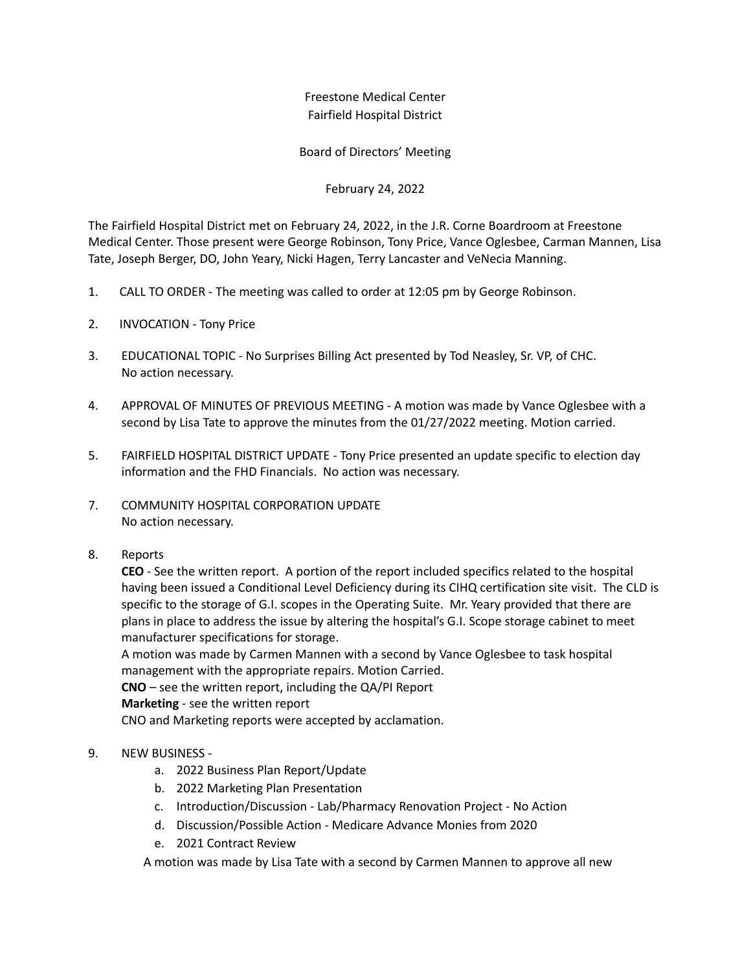## Freestone Medical Center Fairfield Hospital District

## Board of Directors' Meeting

## February 24, 2022

The Fairfield Hospital District met on February 24, 2022, in the J.R. Corne Boardroom at Freestone Medical Center. Those present were George Robinson, Tony Price, Vance Oglesbee, Carman Mannen, Lisa Tate, Joseph Berger, DO, John Yeary, Nicki Hagen, Terry Lancaster and VeNecia Manning.

- 1. CALL TO ORDER The meeting was called to order at 12:05 pm by George Robinson.
- 2. INVOCATION Tony Price
- 3. EDUCATIONAL TOPIC No Surprises Billing Act presented by Tod Neasley, Sr. VP, of CHC. No action necessary.
- 4. APPROVAL OF MINUTES OF PREVIOUS MEETING A motion was made by Vance Oglesbee with a second by Lisa Tate to approve the minutes from the 01/27/2022 meeting. Motion carried.
- 5. FAIRFIELD HOSPITAL DISTRICT UPDATE Tony Price presented an update specific to election day information and the FHD Financials. No action was necessary.
- 7. COMMUNITY HOSPITAL CORPORATION UPDATE No action necessary.
- 8. Reports

**CEO** - See the written report. A portion of the report included specifics related to the hospital having been issued a Conditional Level Deficiency during its CIHQ certification site visit. The CLD is specific to the storage of G.I. scopes in the Operating Suite. Mr. Yeary provided that there are plans in place to address the issue by altering the hospital's G.I. Scope storage cabinet to meet manufacturer specifications for storage.

A motion was made by Carmen Mannen with a second by Vance Oglesbee to task hospital management with the appropriate repairs. Motion Carried.

**CNO** – see the written report, including the QA/PI Report

**Marketing** - see the written report

CNO and Marketing reports were accepted by acclamation.

## 9. NEW BUSINESS -

- a. 2022 Business Plan Report/Update
- b. 2022 Marketing Plan Presentation
- c. Introduction/Discussion Lab/Pharmacy Renovation Project No Action
- d. Discussion/Possible Action Medicare Advance Monies from 2020
- e. 2021 Contract Review

A motion was made by Lisa Tate with a second by Carmen Mannen to approve all new